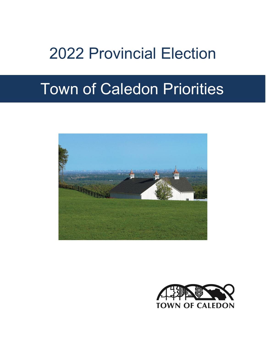# 2022 Provincial Election

# Town of Caledon Priorities



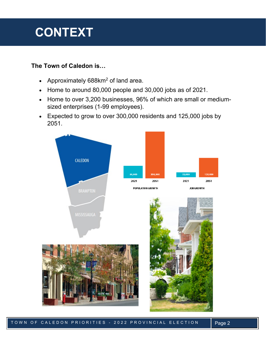# **CONTEXT**

### **The Town of Caledon is…**

- Approximately  $688$ km<sup>2</sup> of land area.
- Home to around 80,000 people and 30,000 jobs as of 2021.
- Home to over 3,200 businesses, 96% of which are small or mediumsized enterprises (1-99 employees).
- Expected to grow to over 300,000 residents and 125,000 jobs by 2051.

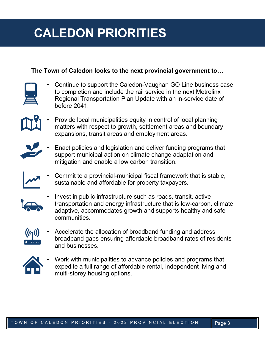# **CALEDON PRIORITIES**

### **The Town of Caledon looks to the next provincial government to…**



• Continue to support the Caledon-Vaughan GO Line business case to completion and include the rail service in the next Metrolinx Regional Transportation Plan Update with an in-service date of before 2041.

• Provide local municipalities equity in control of local planning matters with respect to growth, settlement areas and boundary expansions, transit areas and employment areas.



• Enact policies and legislation and deliver funding programs that support municipal action on climate change adaptation and mitigation and enable a low carbon transition.



• Commit to a provincial-municipal fiscal framework that is stable, sustainable and affordable for property taxpayers.



• Invest in public infrastructure such as roads, transit, active transportation and energy infrastructure that is low-carbon, climate adaptive, accommodates growth and supports healthy and safe communities.



• Accelerate the allocation of broadband funding and address broadband gaps ensuring affordable broadband rates of residents and businesses.



• Work with municipalities to advance policies and programs that expedite a full range of affordable rental, independent living and multi-storey housing options.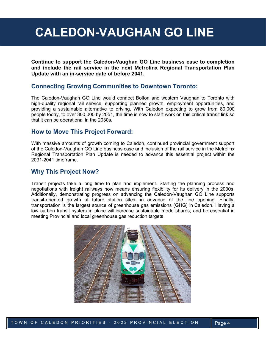# **CALEDON-VAUGHAN GO LINE**

**Continue to support the Caledon-Vaughan GO Line business case to completion and include the rail service in the next Metrolinx Regional Transportation Plan Update with an in-service date of before 2041.** 

### **Connecting Growing Communities to Downtown Toronto:**

The Caledon-Vaughan GO Line would connect Bolton and western Vaughan to Toronto with high-quality regional rail service, supporting planned growth, employment opportunities, and providing a sustainable alternative to driving. With Caledon expecting to grow from 80,000 people today, to over 300,000 by 2051, the time is now to start work on this critical transit link so that it can be operational in the 2030s.

### **How to Move This Project Forward:**

With massive amounts of growth coming to Caledon, continued provincial government support of the Caledon-Vaughan GO Line business case and inclusion of the rail service in the Metrolinx Regional Transportation Plan Update is needed to advance this essential project within the 2031-2041 timeframe.

### **Why This Project Now?**

Transit projects take a long time to plan and implement. Starting the planning process and negotiations with freight railways now means ensuring flexibility for its delivery in the 2030s. Additionally, demonstrating progress on advancing the Caledon-Vaughan GO Line supports transit-oriented growth at future station sites, in advance of the line opening. Finally, transportation is the largest source of greenhouse gas emissions (GHG) in Caledon. Having a low carbon transit system in place will increase sustainable mode shares, and be essential in meeting Provincial and local greenhouse gas reduction targets.

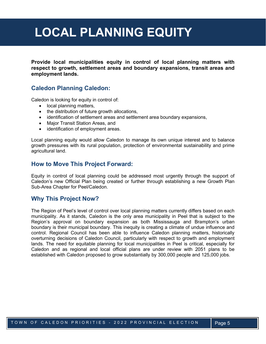# **LOCAL PLANNING EQUITY**

**Provide local municipalities equity in control of local planning matters with respect to growth, settlement areas and boundary expansions, transit areas and employment lands.**

### **Caledon Planning Caledon:**

Caledon is looking for equity in control of:

- local planning matters,
- the distribution of future growth allocations,
- identification of settlement areas and settlement area boundary expansions,
- Major Transit Station Areas, and
- identification of employment areas.

Local planning equity would allow Caledon to manage its own unique interest and to balance growth pressures with its rural population, protection of environmental sustainability and prime agricultural land.

#### **How to Move This Project Forward:**

Equity in control of local planning could be addressed most urgently through the support of Caledon's new Official Plan being created or further through establishing a new Growth Plan Sub-Area Chapter for Peel/Caledon.

### **Why This Project Now?**

The Region of Peel's level of control over local planning matters currently differs based on each municipality. As it stands, Caledon is the only area municipality in Peel that is subject to the Region's approval on boundary expansion as both Mississauga and Brampton's urban boundary is their municipal boundary. This inequity is creating a climate of undue influence and control. Regional Council has been able to influence Caledon planning matters, historically overturning decisions of Caledon Council, particularly with respect to growth and employment lands. The need for equitable planning for local municipalities in Peel is critical, especially for Caledon and as regional and local official plans are under review with 2051 plans to be established with Caledon proposed to grow substantially by 300,000 people and 125,000 jobs.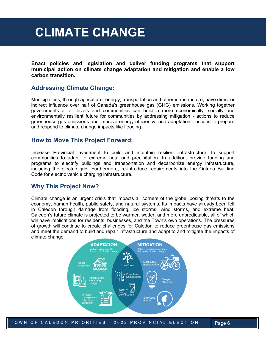## **CLIMATE CHANGE**

**Enact policies and legislation and deliver funding programs that support municipal action on climate change adaptation and mitigation and enable a low carbon transition.**

### **Addressing Climate Change:**

Municipalities, through agriculture, energy, transportation and other infrastructure, have direct or indirect influence over half of Canada's greenhouse gas (GHG) emissions. Working together governments at all levels and communities can build a more economically, socially and environmentally resilient future for communities by addressing mitigation - actions to reduce greenhouse gas emissions and improve energy efficiency; and adaptation - actions to prepare and respond to climate change impacts like flooding.

### **How to Move This Project Forward:**

Increase Provincial investment to build and maintain resilient infrastructure, to support communities to adapt to extreme heat and precipitation. In addition, provide funding and programs to electrify buildings and transportation and decarbonize energy infrastructure, including the electric grid. Furthermore, re-introduce requirements into the Ontario Building Code for electric vehicle charging infrastructure.

### **Why This Project Now?**

Climate change is an urgent crisis that impacts all corners of the globe, posing threats to the economy, human health, public safety, and natural systems. Its impacts have already been felt in Caledon through damage from flooding, ice storms, wind storms, and extreme heat. Caledon's future climate is projected to be warmer, wetter, and more unpredictable, all of which will have implications for residents, businesses, and the Town's own operations. The pressures of growth will continue to create challenges for Caledon to reduce greenhouse gas emissions and meet the demand to build and repair infrastructure and adapt to and mitigate the impacts of climate change.

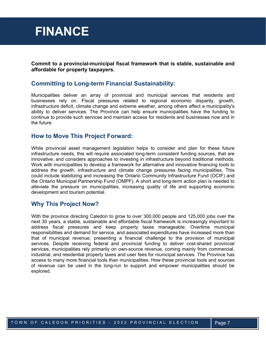### **FINANCE**

**Commit to a provincial-municipal fiscal framework that is stable, sustainable and affordable for property taxpayers.** 

### **Committing to Long-term Financial Sustainability:**

Municipalities deliver an array of provincial and municipal services that residents and businesses rely on. Fiscal pressures related to regional economic disparity, growth, infrastructure deficit, climate change and extreme weather, among others affect a municipality's ability to deliver services. The Province can help ensure municipalities have the funding to continue to provide such services and maintain access for residents and businesses now and in the future.

### **How to Move This Project Forward:**

While provincial asset management legislation helps to consider and plan for these future infrastructure needs, this will require associated long-term consistent funding sources, that are innovative, and considers approaches to investing in infrastructure beyond traditional methods. Work with municipalities to develop a framework for alternative and innovative financing tools to address the growth, infrastructure and climate change pressures facing municipalities. This could include stabilizing and increasing the Ontario Community Infrastructure Fund (OCIF) and the Ontario Municipal Partnership Fund (OMPF). A short and long-term action plan is needed to alleviate the pressure on municipalities, increasing quality of life and supporting economic development and tourism potential.

### **Why This Project Now?**

With the province directing Caledon to grow to over 300,000 people and 125,000 jobs over the next 30 years, a stable, sustainable and affordable fiscal framework is increasingly important to address fiscal pressures and keep property taxes manageable. Overtime municipal responsibilities and demand for service, and associated expenditures have increased more than that of municipal revenue, presenting a financial challenge to the provision of municipal services. Despite receiving federal and provincial funding to deliver cost-shared provincial services, municipalities rely primarily on own-source revenue, coming mainly from commercial, industrial, and residential property taxes and user fees for municipal services. The Province has access to many more financial tools than municipalities. How these provincial tools and sources of revenue can be used in the long-run to support and empower municipalities should be explored.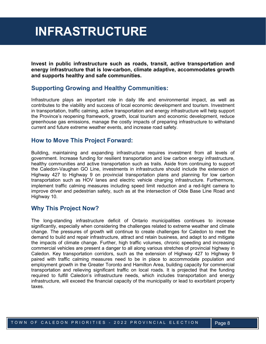## **INFRASTRUCTURE**

**Invest in public infrastructure such as roads, transit, active transportation and energy infrastructure that is low-carbon, climate adaptive, accommodates growth and supports healthy and safe communities.**

### **Supporting Growing and Healthy Communities:**

Infrastructure plays an important role in daily life and environmental impact, as well as contributes to the viability and success of local economic development and tourism. Investment in transportation, traffic calming, active transportation and energy infrastructure will help support the Province's reopening framework, growth, local tourism and economic development, reduce greenhouse gas emissions, manage the costly impacts of preparing infrastructure to withstand current and future extreme weather events, and increase road safety.

### **How to Move This Project Forward:**

Building, maintaining and expanding infrastructure requires investment from all levels of government. Increase funding for resilient transportation and low carbon energy infrastructure, healthy communities and active transportation such as trails. Aside from continuing to support the Caledon-Vaughan GO Line, investments in infrastructure should include the extension of Highway 427 to Highway 9 on provincial transportation plans and planning for low carbon transportation such as HOV lanes and electric vehicle charging infrastructure. Furthermore, implement traffic calming measures including speed limit reduction and a red-light camera to improve driver and pedestrian safety, such as at the intersection of Olde Base Line Road and Highway 10.

### **Why This Project Now?**

The long-standing infrastructure deficit of Ontario municipalities continues to increase significantly, especially when considering the challenges related to extreme weather and climate change. The pressures of growth will continue to create challenges for Caledon to meet the demand to build and repair infrastructure, attract and retain business, and adapt to and mitigate the impacts of climate change. Further, high traffic volumes, chronic speeding and increasing commercial vehicles are present a danger to all along various stretches of provincial highway in Caledon. Key transportation corridors, such as the extension of Highway 427 to Highway 9 paired with traffic calming measures need to be in place to accommodate population and employment growth in the Greater Toronto and Hamilton Area, building capacity for commercial transportation and relieving significant traffic on local roads. It is projected that the funding required to fulfill Caledon's infrastructure needs, which includes transportation and energy infrastructure, will exceed the financial capacity of the municipality or lead to exorbitant property taxes.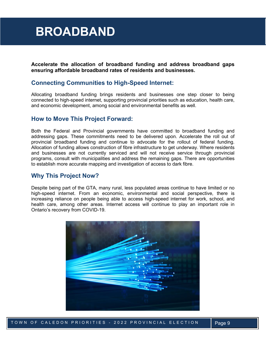# **BROADBAND**

**Accelerate the allocation of broadband funding and address broadband gaps ensuring affordable broadband rates of residents and businesses.**

### **Connecting Communities to High-Speed Internet:**

Allocating broadband funding brings residents and businesses one step closer to being connected to high-speed internet, supporting provincial priorities such as education, health care, and economic development, among social and environmental benefits as well.

### **How to Move This Project Forward:**

Both the Federal and Provincial governments have committed to broadband funding and addressing gaps. These commitments need to be delivered upon. Accelerate the roll out of provincial broadband funding and continue to advocate for the rollout of federal funding. Allocation of funding allows construction of fibre infrastructure to get underway. Where residents and businesses are not currently serviced and will not receive service through provincial programs, consult with municipalities and address the remaining gaps. There are opportunities to establish more accurate mapping and investigation of access to dark fibre.

### **Why This Project Now?**

Despite being part of the GTA, many rural, less populated areas continue to have limited or no high-speed internet. From an economic, environmental and social perspective, there is increasing reliance on people being able to access high-speed internet for work, school, and health care, among other areas. Internet access will continue to play an important role in Ontario's recovery from COVID-19.